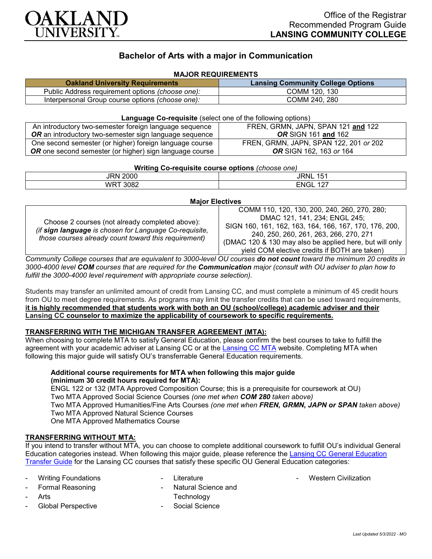

# **Bachelor of Arts with a major in Communication**

## **MAJOR REQUIREMENTS**

| <b>Oakland University Requirements</b>                  | <b>Lansing Community College Options</b> |
|---------------------------------------------------------|------------------------------------------|
| Public Address requirement options <i>(choose one):</i> | COMM 120, 130                            |
| Interpersonal Group course options <i>(choose one):</i> | COMM 240, 280                            |

### **Language Co-requisite** (select one of the following options)

| An introductory two-semester foreign language sequence         | FREN, GRMN, JAPN, SPAN 121 and 122     |
|----------------------------------------------------------------|----------------------------------------|
| <b>OR</b> an introductory two-semester sign language sequence  | <b>OR SIGN 161 and 162</b>             |
| One second semester (or higher) foreign language course        | FREN, GRMN, JAPN, SPAN 122, 201 or 202 |
| <b>OR</b> one second semester (or higher) sign language course | <b>OR</b> SIGN 162, 163 or 164         |

| Writing Co-requisite course options (choose one) |                         |  |
|--------------------------------------------------|-------------------------|--|
| JRN 2000                                         | JRNL<br>15 <sup>′</sup> |  |
| WRT 3082                                         | <b>ENGL 127</b>         |  |

#### **Major Electives**

| Choose 2 courses (not already completed above):<br>(if sign language is chosen for Language Co-requisite,<br>those courses already count toward this requirement) | COMM 110, 120, 130, 200, 240, 260, 270, 280;              |
|-------------------------------------------------------------------------------------------------------------------------------------------------------------------|-----------------------------------------------------------|
|                                                                                                                                                                   | DMAC 121, 141, 234; ENGL 245;                             |
|                                                                                                                                                                   | SIGN 160, 161, 162, 163, 164, 166, 167, 170, 176, 200,    |
|                                                                                                                                                                   | 240, 250, 260, 261, 263, 266, 270, 271                    |
|                                                                                                                                                                   | (DMAC 120 & 130 may also be applied here, but will only I |
|                                                                                                                                                                   | yield COM elective credits if BOTH are taken)             |

*Community College courses that are equivalent to 3000-level OU courses do not count toward the minimum 20 credits in 3000-4000 level COM courses that are required for the Communication major (consult with OU adviser to plan how to fulfill the 3000-4000 level requirement with appropriate course selection).*

Students may transfer an unlimited amount of credit from Lansing CC, and must complete a minimum of 45 credit hours from OU to meet degree requirements. As programs may limit the transfer credits that can be used toward requirements, **it is highly recommended that students work with both an OU (school/college) academic adviser and their Lansing CC counselor to maximize the applicability of coursework to specific requirements.**

## **TRANSFERRING WITH THE MICHIGAN TRANSFER AGREEMENT (MTA):**

When choosing to complete MTA to satisfy General Education, please confirm the best courses to take to fulfill the agreement with your academic adviser at Lansing CC or at the [Lansing CC MTA](https://www.lcc.edu/academics/transfer/mta.html) website. Completing MTA when following this major guide will satisfy OU's transferrable General Education requirements.

### **Additional course requirements for MTA when following this major guide (minimum 30 credit hours required for MTA):**

ENGL 122 or 132 (MTA Approved Composition Course; this is a prerequisite for coursework at OU) Two MTA Approved Social Science Courses *(one met when COM 280 taken above)* Two MTA Approved Humanities/Fine Arts Courses *(one met when FREN, GRMN, JAPN or SPAN taken above)* Two MTA Approved Natural Science Courses One MTA Approved Mathematics Course

## **TRANSFERRING WITHOUT MTA:**

If you intend to transfer without MTA, you can choose to complete additional coursework to fulfill OU's individual General Education categories instead. When following this major guide, please reference the [Lansing CC General Education](https://www.oakland.edu/Assets/Oakland/program-guides/lansing-community-college/university-general-education-requirements/Lansing%20Gen%20Ed.pdf)  [Transfer Guide](https://www.oakland.edu/Assets/Oakland/program-guides/lansing-community-college/university-general-education-requirements/Lansing%20Gen%20Ed.pdf) for the Lansing CC courses that satisfy these specific OU General Education categories:

Writing Foundations Formal Reasoning

- **Literature**
- Natural Science and **Technology**

- Western Civilization

**Arts** Global Perspective

- - Social Science